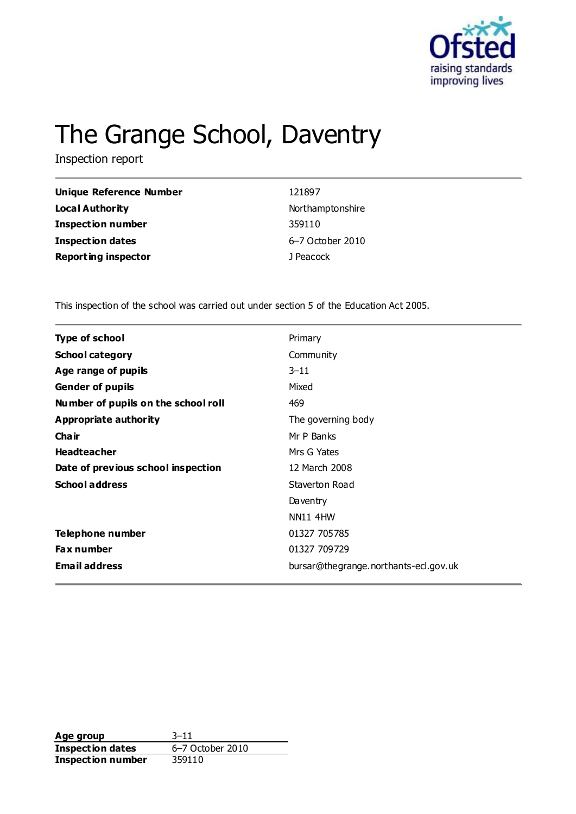

# The Grange School, Daventry

Inspection report

| <b>Unique Reference Number</b> | 121897           |
|--------------------------------|------------------|
| Local Authority                | Northamptonshire |
| <b>Inspection number</b>       | 359110           |
| <b>Inspection dates</b>        | 6–7 October 2010 |
| <b>Reporting inspector</b>     | J Peacock        |

This inspection of the school was carried out under section 5 of the Education Act 2005.

| <b>Type of school</b>               | Primary                               |
|-------------------------------------|---------------------------------------|
| <b>School category</b>              | Community                             |
| Age range of pupils                 | $3 - 11$                              |
| <b>Gender of pupils</b>             | Mixed                                 |
| Number of pupils on the school roll | 469                                   |
| Appropriate authority               | The governing body                    |
| Cha ir                              | Mr P Banks                            |
| <b>Headteacher</b>                  | Mrs G Yates                           |
| Date of previous school inspection  | 12 March 2008                         |
| <b>School address</b>               | Staverton Road                        |
|                                     | Daventry                              |
|                                     | <b>NN11 4HW</b>                       |
| Telephone number                    | 01327 705785                          |
| <b>Fax number</b>                   | 01327 709729                          |
| <b>Email address</b>                | bursar@thegrange.northants-ecl.gov.uk |

**Age group** 3–11<br> **Inspection dates** 6–7 October 2010 **Inspection dates Inspection number** 359110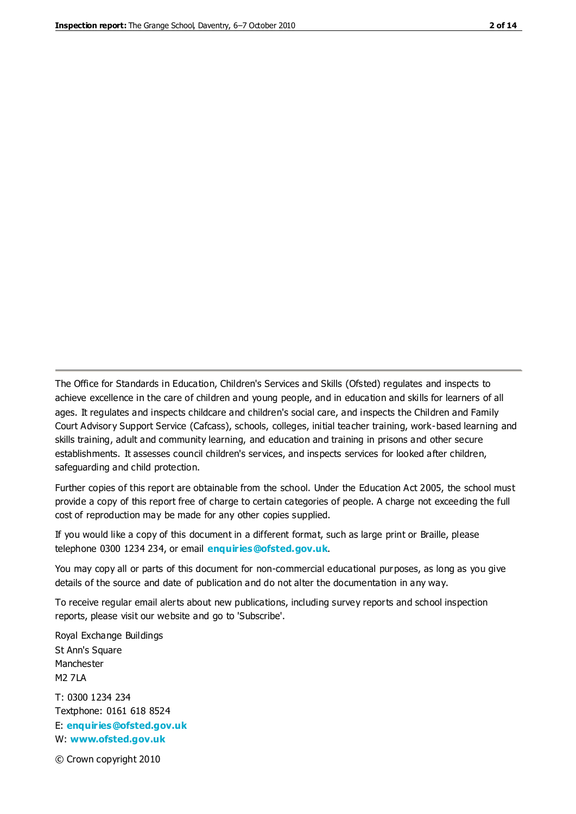The Office for Standards in Education, Children's Services and Skills (Ofsted) regulates and inspects to achieve excellence in the care of children and young people, and in education and skills for learners of all ages. It regulates and inspects childcare and children's social care, and inspects the Children and Family Court Advisory Support Service (Cafcass), schools, colleges, initial teacher training, work-based learning and skills training, adult and community learning, and education and training in prisons and other secure establishments. It assesses council children's services, and inspects services for looked after children, safeguarding and child protection.

Further copies of this report are obtainable from the school. Under the Education Act 2005, the school must provide a copy of this report free of charge to certain categories of people. A charge not exceeding the full cost of reproduction may be made for any other copies supplied.

If you would like a copy of this document in a different format, such as large print or Braille, please telephone 0300 1234 234, or email **[enquiries@ofsted.gov.uk](mailto:enquiries@ofsted.gov.uk)**.

You may copy all or parts of this document for non-commercial educational purposes, as long as you give details of the source and date of publication and do not alter the documentation in any way.

To receive regular email alerts about new publications, including survey reports and school inspection reports, please visit our website and go to 'Subscribe'.

Royal Exchange Buildings St Ann's Square Manchester M2 7LA T: 0300 1234 234 Textphone: 0161 618 8524 E: **[enquiries@ofsted.gov.uk](mailto:enquiries@ofsted.gov.uk)**

W: **[www.ofsted.gov.uk](http://www.ofsted.gov.uk/)**

© Crown copyright 2010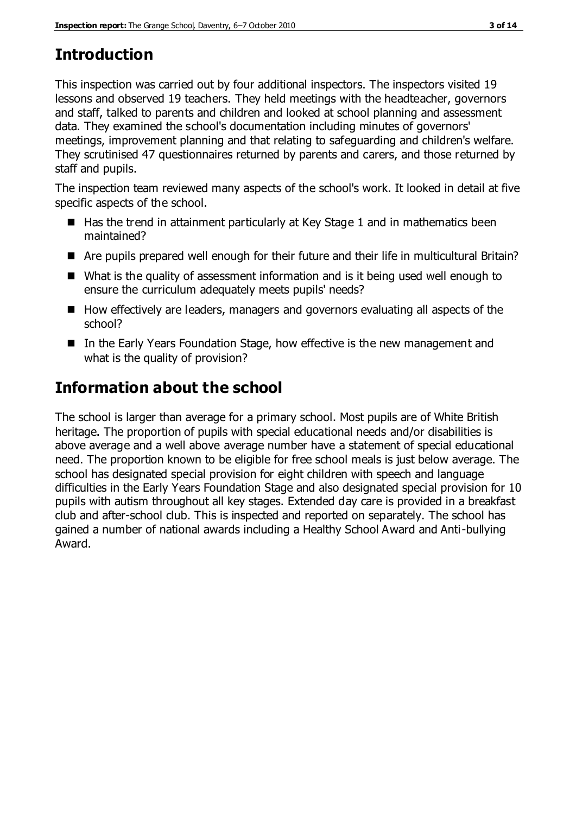# **Introduction**

This inspection was carried out by four additional inspectors. The inspectors visited 19 lessons and observed 19 teachers. They held meetings with the headteacher, governors and staff, talked to parents and children and looked at school planning and assessment data. They examined the school's documentation including minutes of governors' meetings, improvement planning and that relating to safeguarding and children's welfare. They scrutinised 47 questionnaires returned by parents and carers, and those returned by staff and pupils.

The inspection team reviewed many aspects of the school's work. It looked in detail at five specific aspects of the school.

- $\blacksquare$  Has the trend in attainment particularly at Key Stage 1 and in mathematics been maintained?
- Are pupils prepared well enough for their future and their life in multicultural Britain?
- What is the quality of assessment information and is it being used well enough to ensure the curriculum adequately meets pupils' needs?
- How effectively are leaders, managers and governors evaluating all aspects of the school?
- In the Early Years Foundation Stage, how effective is the new management and what is the quality of provision?

# **Information about the school**

The school is larger than average for a primary school. Most pupils are of White British heritage. The proportion of pupils with special educational needs and/or disabilities is above average and a well above average number have a statement of special educational need. The proportion known to be eligible for free school meals is just below average. The school has designated special provision for eight children with speech and language difficulties in the Early Years Foundation Stage and also designated special provision for 10 pupils with autism throughout all key stages. Extended day care is provided in a breakfast club and after-school club. This is inspected and reported on separately. The school has gained a number of national awards including a Healthy School Award and Anti-bullying Award.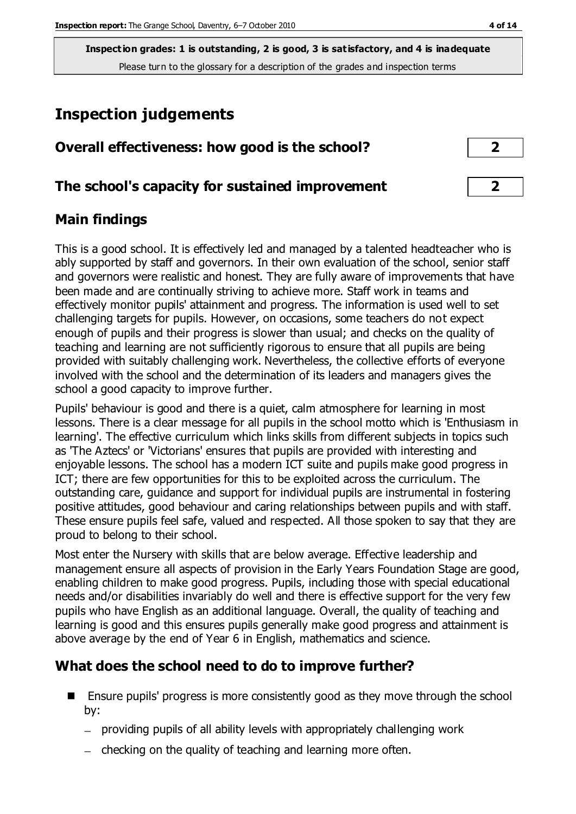# **Inspection judgements**

|  | Overall effectiveness: how good is the school? |  |  |  |  |
|--|------------------------------------------------|--|--|--|--|
|--|------------------------------------------------|--|--|--|--|

# **The school's capacity for sustained improvement 2**

# **Main findings**

This is a good school. It is effectively led and managed by a talented headteacher who is ably supported by staff and governors. In their own evaluation of the school, senior staff and governors were realistic and honest. They are fully aware of improvements that have been made and are continually striving to achieve more. Staff work in teams and effectively monitor pupils' attainment and progress. The information is used well to set challenging targets for pupils. However, on occasions, some teachers do not expect enough of pupils and their progress is slower than usual; and checks on the quality of teaching and learning are not sufficiently rigorous to ensure that all pupils are being provided with suitably challenging work. Nevertheless, the collective efforts of everyone involved with the school and the determination of its leaders and managers gives the school a good capacity to improve further.

Pupils' behaviour is good and there is a quiet, calm atmosphere for learning in most lessons. There is a clear message for all pupils in the school motto which is 'Enthusiasm in learning'. The effective curriculum which links skills from different subjects in topics such as 'The Aztecs' or 'Victorians' ensures that pupils are provided with interesting and enjoyable lessons. The school has a modern ICT suite and pupils make good progress in ICT; there are few opportunities for this to be exploited across the curriculum. The outstanding care, guidance and support for individual pupils are instrumental in fostering positive attitudes, good behaviour and caring relationships between pupils and with staff. These ensure pupils feel safe, valued and respected. All those spoken to say that they are proud to belong to their school.

Most enter the Nursery with skills that are below average. Effective leadership and management ensure all aspects of provision in the Early Years Foundation Stage are good, enabling children to make good progress. Pupils, including those with special educational needs and/or disabilities invariably do well and there is effective support for the very few pupils who have English as an additional language. Overall, the quality of teaching and learning is good and this ensures pupils generally make good progress and attainment is above average by the end of Year 6 in English, mathematics and science.

# **What does the school need to do to improve further?**

- Ensure pupils' progress is more consistently good as they move through the school by:
	- providing pupils of all ability levels with appropriately challenging work
	- $-$  checking on the quality of teaching and learning more often.

| $\overline{\mathbf{2}}$ |  |
|-------------------------|--|
|                         |  |
| ∍                       |  |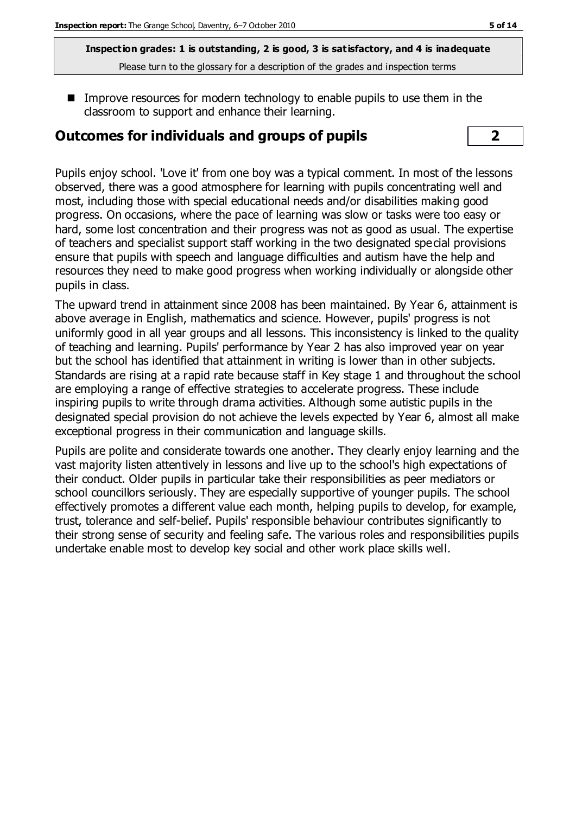■ Improve resources for modern technology to enable pupils to use them in the classroom to support and enhance their learning.

# **Outcomes for individuals and groups of pupils 2**

Pupils enjoy school. 'Love it' from one boy was a typical comment. In most of the lessons observed, there was a good atmosphere for learning with pupils concentrating well and most, including those with special educational needs and/or disabilities making good progress. On occasions, where the pace of learning was slow or tasks were too easy or hard, some lost concentration and their progress was not as good as usual. The expertise of teachers and specialist support staff working in the two designated special provisions ensure that pupils with speech and language difficulties and autism have the help and resources they need to make good progress when working individually or alongside other pupils in class.

The upward trend in attainment since 2008 has been maintained. By Year 6, attainment is above average in English, mathematics and science. However, pupils' progress is not uniformly good in all year groups and all lessons. This inconsistency is linked to the quality of teaching and learning. Pupils' performance by Year 2 has also improved year on year but the school has identified that attainment in writing is lower than in other subjects. Standards are rising at a rapid rate because staff in Key stage 1 and throughout the school are employing a range of effective strategies to accelerate progress. These include inspiring pupils to write through drama activities. Although some autistic pupils in the designated special provision do not achieve the levels expected by Year 6, almost all make exceptional progress in their communication and language skills.

Pupils are polite and considerate towards one another. They clearly enjoy learning and the vast majority listen attentively in lessons and live up to the school's high expectations of their conduct. Older pupils in particular take their responsibilities as peer mediators or school councillors seriously. They are especially supportive of younger pupils. The school effectively promotes a different value each month, helping pupils to develop, for example, trust, tolerance and self-belief. Pupils' responsible behaviour contributes significantly to their strong sense of security and feeling safe. The various roles and responsibilities pupils undertake enable most to develop key social and other work place skills well.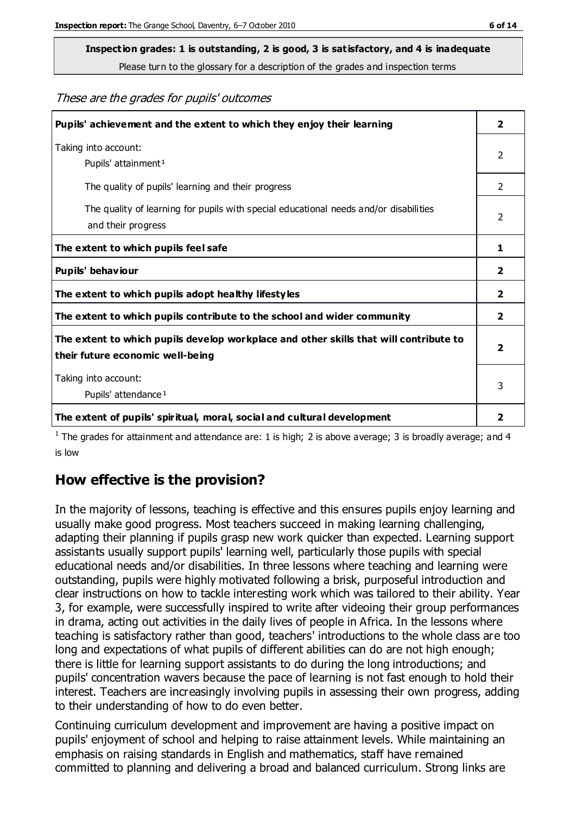# **Inspection grades: 1 is outstanding, 2 is good, 3 is satisfactory, and 4 is inadequate**

Please turn to the glossary for a description of the grades and inspection terms

These are the grades for pupils' outcomes

| Pupils' achievement and the extent to which they enjoy their learning                                                     | $\overline{2}$          |
|---------------------------------------------------------------------------------------------------------------------------|-------------------------|
| Taking into account:<br>Pupils' attainment <sup>1</sup>                                                                   | 2                       |
| The quality of pupils' learning and their progress                                                                        | $\mathcal{P}$           |
| The quality of learning for pupils with special educational needs and/or disabilities<br>and their progress               | $\overline{2}$          |
| The extent to which pupils feel safe                                                                                      | 1                       |
| Pupils' behaviour                                                                                                         | 2                       |
| The extent to which pupils adopt healthy lifestyles                                                                       | 2                       |
| The extent to which pupils contribute to the school and wider community                                                   | $\overline{2}$          |
| The extent to which pupils develop workplace and other skills that will contribute to<br>their future economic well-being | $\overline{\mathbf{2}}$ |
| Taking into account:<br>Pupils' attendance <sup>1</sup>                                                                   | 3                       |
| The extent of pupils' spiritual, moral, social and cultural development                                                   | 2                       |

<sup>1</sup> The grades for attainment and attendance are: 1 is high; 2 is above average; 3 is broadly average; and 4 is low

### **How effective is the provision?**

In the majority of lessons, teaching is effective and this ensures pupils enjoy learning and usually make good progress. Most teachers succeed in making learning challenging, adapting their planning if pupils grasp new work quicker than expected. Learning support assistants usually support pupils' learning well, particularly those pupils with special educational needs and/or disabilities. In three lessons where teaching and learning were outstanding, pupils were highly motivated following a brisk, purposeful introduction and clear instructions on how to tackle interesting work which was tailored to their ability. Year 3, for example, were successfully inspired to write after videoing their group performances in drama, acting out activities in the daily lives of people in Africa. In the lessons where teaching is satisfactory rather than good, teachers' introductions to the whole class are too long and expectations of what pupils of different abilities can do are not high enough; there is little for learning support assistants to do during the long introductions; and pupils' concentration wavers because the pace of learning is not fast enough to hold their interest. Teachers are increasingly involving pupils in assessing their own progress, adding to their understanding of how to do even better.

Continuing curriculum development and improvement are having a positive impact on pupils' enjoyment of school and helping to raise attainment levels. While maintaining an emphasis on raising standards in English and mathematics, staff have remained committed to planning and delivering a broad and balanced curriculum. Strong links are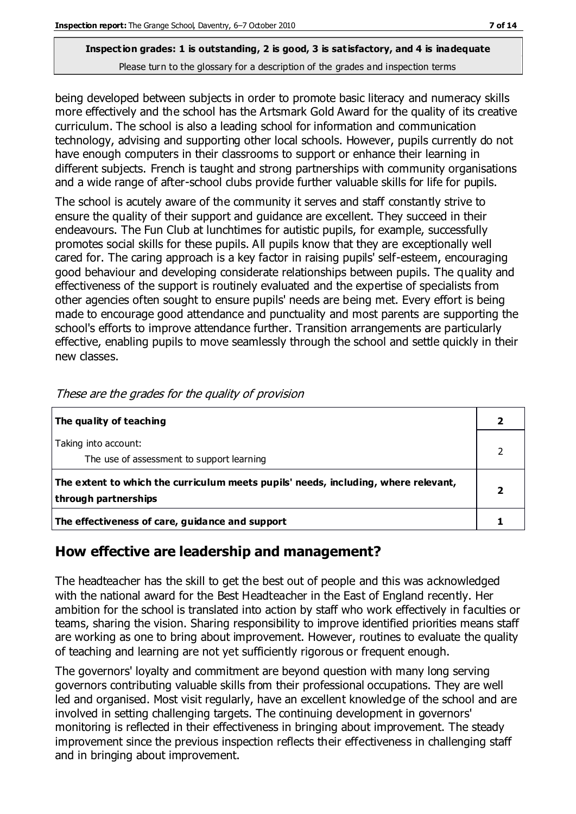being developed between subjects in order to promote basic literacy and numeracy skills more effectively and the school has the Artsmark Gold Award for the quality of its creative curriculum. The school is also a leading school for information and communication technology, advising and supporting other local schools. However, pupils currently do not have enough computers in their classrooms to support or enhance their learning in different subjects. French is taught and strong partnerships with community organisations and a wide range of after-school clubs provide further valuable skills for life for pupils.

The school is acutely aware of the community it serves and staff constantly strive to ensure the quality of their support and guidance are excellent. They succeed in their endeavours. The Fun Club at lunchtimes for autistic pupils, for example, successfully promotes social skills for these pupils. All pupils know that they are exceptionally well cared for. The caring approach is a key factor in raising pupils' self-esteem, encouraging good behaviour and developing considerate relationships between pupils. The quality and effectiveness of the support is routinely evaluated and the expertise of specialists from other agencies often sought to ensure pupils' needs are being met. Every effort is being made to encourage good attendance and punctuality and most parents are supporting the school's efforts to improve attendance further. Transition arrangements are particularly effective, enabling pupils to move seamlessly through the school and settle quickly in their new classes.

| The quality of teaching                                                                                    |  |
|------------------------------------------------------------------------------------------------------------|--|
| Taking into account:<br>The use of assessment to support learning                                          |  |
| The extent to which the curriculum meets pupils' needs, including, where relevant,<br>through partnerships |  |
| The effectiveness of care, guidance and support                                                            |  |

These are the grades for the quality of provision

### **How effective are leadership and management?**

The headteacher has the skill to get the best out of people and this was acknowledged with the national award for the Best Headteacher in the East of England recently. Her ambition for the school is translated into action by staff who work effectively in faculties or teams, sharing the vision. Sharing responsibility to improve identified priorities means staff are working as one to bring about improvement. However, routines to evaluate the quality of teaching and learning are not yet sufficiently rigorous or frequent enough.

The governors' loyalty and commitment are beyond question with many long serving governors contributing valuable skills from their professional occupations. They are well led and organised. Most visit regularly, have an excellent knowledge of the school and are involved in setting challenging targets. The continuing development in governors' monitoring is reflected in their effectiveness in bringing about improvement. The steady improvement since the previous inspection reflects their effectiveness in challenging staff and in bringing about improvement.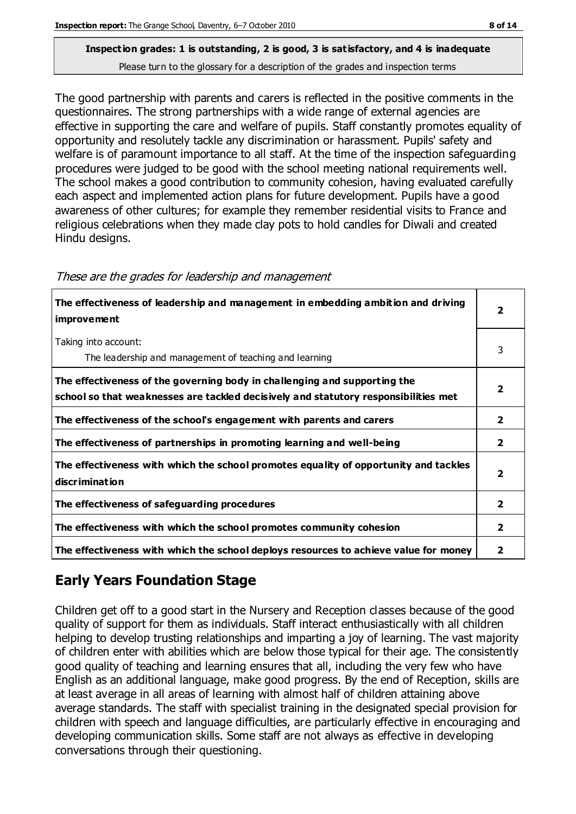The good partnership with parents and carers is reflected in the positive comments in the questionnaires. The strong partnerships with a wide range of external agencies are effective in supporting the care and welfare of pupils. Staff constantly promotes equality of opportunity and resolutely tackle any discrimination or harassment. Pupils' safety and welfare is of paramount importance to all staff. At the time of the inspection safeguarding procedures were judged to be good with the school meeting national requirements well. The school makes a good contribution to community cohesion, having evaluated carefully each aspect and implemented action plans for future development. Pupils have a good awareness of other cultures; for example they remember residential visits to France and religious celebrations when they made clay pots to hold candles for Diwali and created Hindu designs.

| The effectiveness of leadership and management in embedding ambition and driving<br><i>improvement</i>                                                           | 2              |
|------------------------------------------------------------------------------------------------------------------------------------------------------------------|----------------|
| Taking into account:<br>The leadership and management of teaching and learning                                                                                   | 3              |
| The effectiveness of the governing body in challenging and supporting the<br>school so that weaknesses are tackled decisively and statutory responsibilities met | 7              |
| The effectiveness of the school's engagement with parents and carers                                                                                             | 2              |
| The effectiveness of partnerships in promoting learning and well-being                                                                                           | 2              |
| The effectiveness with which the school promotes equality of opportunity and tackles<br>discrimination                                                           | 2              |
| The effectiveness of safeguarding procedures                                                                                                                     | $\overline{2}$ |
| The effectiveness with which the school promotes community cohesion                                                                                              | 2              |
| The effectiveness with which the school deploys resources to achieve value for money                                                                             | 2              |

#### These are the grades for leadership and management

# **Early Years Foundation Stage**

Children get off to a good start in the Nursery and Reception classes because of the good quality of support for them as individuals. Staff interact enthusiastically with all children helping to develop trusting relationships and imparting a joy of learning. The vast majority of children enter with abilities which are below those typical for their age. The consistently good quality of teaching and learning ensures that all, including the very few who have English as an additional language, make good progress. By the end of Reception, skills are at least average in all areas of learning with almost half of children attaining above average standards. The staff with specialist training in the designated special provision for children with speech and language difficulties, are particularly effective in encouraging and developing communication skills. Some staff are not always as effective in developing conversations through their questioning.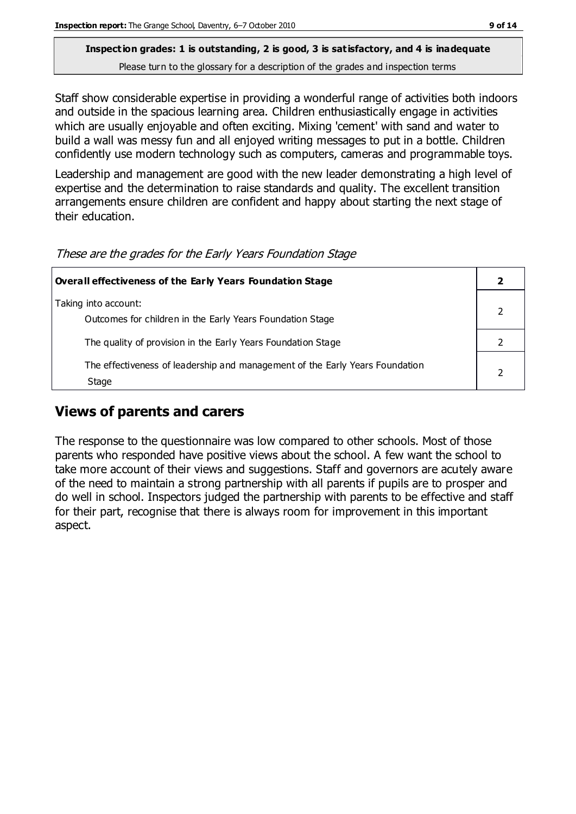Staff show considerable expertise in providing a wonderful range of activities both indoors and outside in the spacious learning area. Children enthusiastically engage in activities which are usually enjoyable and often exciting. Mixing 'cement' with sand and water to build a wall was messy fun and all enjoyed writing messages to put in a bottle. Children confidently use modern technology such as computers, cameras and programmable toys.

Leadership and management are good with the new leader demonstrating a high level of expertise and the determination to raise standards and quality. The excellent transition arrangements ensure children are confident and happy about starting the next stage of their education.

| <b>Overall effectiveness of the Early Years Foundation Stage</b>                      |  |  |
|---------------------------------------------------------------------------------------|--|--|
| Taking into account:<br>Outcomes for children in the Early Years Foundation Stage     |  |  |
| The quality of provision in the Early Years Foundation Stage                          |  |  |
| The effectiveness of leadership and management of the Early Years Foundation<br>Stage |  |  |

These are the grades for the Early Years Foundation Stage

# **Views of parents and carers**

The response to the questionnaire was low compared to other schools. Most of those parents who responded have positive views about the school. A few want the school to take more account of their views and suggestions. Staff and governors are acutely aware of the need to maintain a strong partnership with all parents if pupils are to prosper and do well in school. Inspectors judged the partnership with parents to be effective and staff for their part, recognise that there is always room for improvement in this important aspect.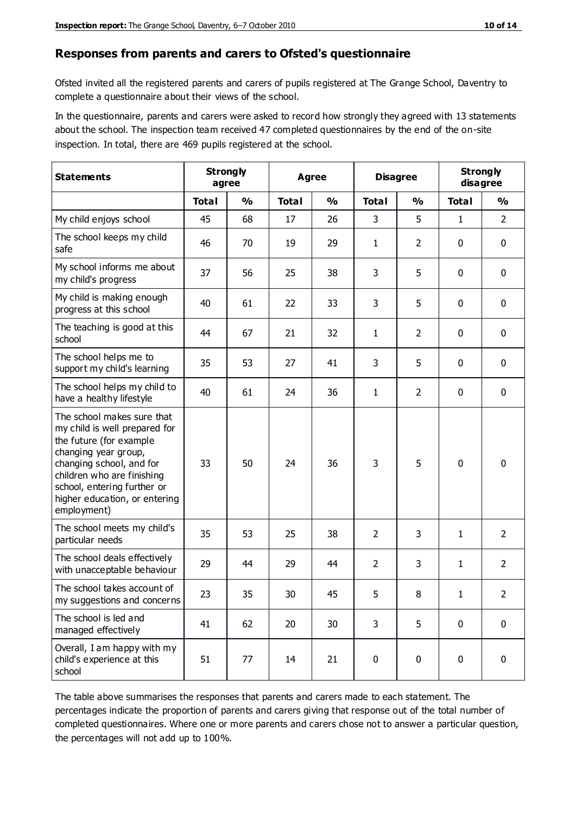#### **Responses from parents and carers to Ofsted's questionnaire**

Ofsted invited all the registered parents and carers of pupils registered at The Grange School, Daventry to complete a questionnaire about their views of the school.

In the questionnaire, parents and carers were asked to record how strongly they agreed with 13 statements about the school. The inspection team received 47 completed questionnaires by the end of the on-site inspection. In total, there are 469 pupils registered at the school.

| <b>Statements</b>                                                                                                                                                                                                                                       | <b>Strongly</b><br>agree |               |              | Agree         |                | <b>Disagree</b> |              | <b>Strongly</b><br>disagree |
|---------------------------------------------------------------------------------------------------------------------------------------------------------------------------------------------------------------------------------------------------------|--------------------------|---------------|--------------|---------------|----------------|-----------------|--------------|-----------------------------|
|                                                                                                                                                                                                                                                         | <b>Total</b>             | $\frac{0}{0}$ | <b>Total</b> | $\frac{0}{0}$ | <b>Total</b>   | $\frac{0}{0}$   | <b>Total</b> | $\frac{1}{2}$               |
| My child enjoys school                                                                                                                                                                                                                                  | 45                       | 68            | 17           | 26            | 3              | 5               | $\mathbf{1}$ | $\overline{2}$              |
| The school keeps my child<br>safe                                                                                                                                                                                                                       | 46                       | 70            | 19           | 29            | 1              | $\overline{2}$  | $\mathbf 0$  | $\mathbf 0$                 |
| My school informs me about<br>my child's progress                                                                                                                                                                                                       | 37                       | 56            | 25           | 38            | 3              | 5               | $\mathbf 0$  | $\mathbf 0$                 |
| My child is making enough<br>progress at this school                                                                                                                                                                                                    | 40                       | 61            | 22           | 33            | 3              | 5               | 0            | $\mathbf 0$                 |
| The teaching is good at this<br>school                                                                                                                                                                                                                  | 44                       | 67            | 21           | 32            | 1              | $\overline{2}$  | $\mathbf 0$  | $\mathbf 0$                 |
| The school helps me to<br>support my child's learning                                                                                                                                                                                                   | 35                       | 53            | 27           | 41            | 3              | 5               | $\mathbf 0$  | $\mathbf 0$                 |
| The school helps my child to<br>have a healthy lifestyle                                                                                                                                                                                                | 40                       | 61            | 24           | 36            | $\mathbf{1}$   | $\overline{2}$  | $\mathbf 0$  | $\mathbf 0$                 |
| The school makes sure that<br>my child is well prepared for<br>the future (for example<br>changing year group,<br>changing school, and for<br>children who are finishing<br>school, entering further or<br>higher education, or entering<br>employment) | 33                       | 50            | 24           | 36            | 3              | 5               | $\mathbf 0$  | $\mathbf 0$                 |
| The school meets my child's<br>particular needs                                                                                                                                                                                                         | 35                       | 53            | 25           | 38            | $\overline{2}$ | 3               | $\mathbf{1}$ | $\overline{2}$              |
| The school deals effectively<br>with unacceptable behaviour                                                                                                                                                                                             | 29                       | 44            | 29           | 44            | $\overline{2}$ | 3               | 1            | $\overline{2}$              |
| The school takes account of<br>my suggestions and concerns                                                                                                                                                                                              | 23                       | 35            | 30           | 45            | 5              | 8               | 1            | 2                           |
| The school is led and<br>managed effectively                                                                                                                                                                                                            | 41                       | 62            | 20           | 30            | 3              | 5               | $\mathbf 0$  | $\mathbf 0$                 |
| Overall, I am happy with my<br>child's experience at this<br>school                                                                                                                                                                                     | 51                       | 77            | 14           | 21            | $\pmb{0}$      | 0               | $\mathbf 0$  | $\mathbf 0$                 |

The table above summarises the responses that parents and carers made to each statement. The percentages indicate the proportion of parents and carers giving that response out of the total number of completed questionnaires. Where one or more parents and carers chose not to answer a particular question, the percentages will not add up to 100%.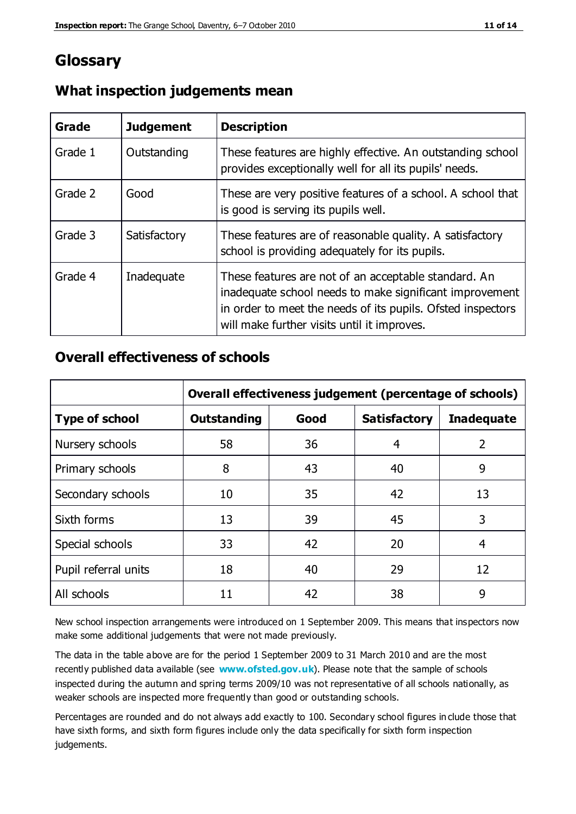# **Glossary**

| Grade   | <b>Judgement</b> | <b>Description</b>                                                                                                                                                                                                            |
|---------|------------------|-------------------------------------------------------------------------------------------------------------------------------------------------------------------------------------------------------------------------------|
| Grade 1 | Outstanding      | These features are highly effective. An outstanding school<br>provides exceptionally well for all its pupils' needs.                                                                                                          |
| Grade 2 | Good             | These are very positive features of a school. A school that<br>is good is serving its pupils well.                                                                                                                            |
| Grade 3 | Satisfactory     | These features are of reasonable quality. A satisfactory<br>school is providing adequately for its pupils.                                                                                                                    |
| Grade 4 | Inadequate       | These features are not of an acceptable standard. An<br>inadequate school needs to make significant improvement<br>in order to meet the needs of its pupils. Ofsted inspectors<br>will make further visits until it improves. |

# **What inspection judgements mean**

# **Overall effectiveness of schools**

|                       | Overall effectiveness judgement (percentage of schools) |      |                     |                   |
|-----------------------|---------------------------------------------------------|------|---------------------|-------------------|
| <b>Type of school</b> | <b>Outstanding</b>                                      | Good | <b>Satisfactory</b> | <b>Inadequate</b> |
| Nursery schools       | 58                                                      | 36   | 4                   | $\overline{2}$    |
| Primary schools       | 8                                                       | 43   | 40                  | 9                 |
| Secondary schools     | 10                                                      | 35   | 42                  | 13                |
| Sixth forms           | 13                                                      | 39   | 45                  | 3                 |
| Special schools       | 33                                                      | 42   | 20                  | 4                 |
| Pupil referral units  | 18                                                      | 40   | 29                  | 12                |
| All schools           | 11                                                      | 42   | 38                  | 9                 |

New school inspection arrangements were introduced on 1 September 2009. This means that inspectors now make some additional judgements that were not made previously.

The data in the table above are for the period 1 September 2009 to 31 March 2010 and are the most recently published data available (see **[www.ofsted.gov.uk](http://www.ofsted.gov.uk/)**). Please note that the sample of schools inspected during the autumn and spring terms 2009/10 was not representative of all schools nationally, as weaker schools are inspected more frequently than good or outstanding schools.

Percentages are rounded and do not always add exactly to 100. Secondary school figures in clude those that have sixth forms, and sixth form figures include only the data specifically for sixth form inspection judgements.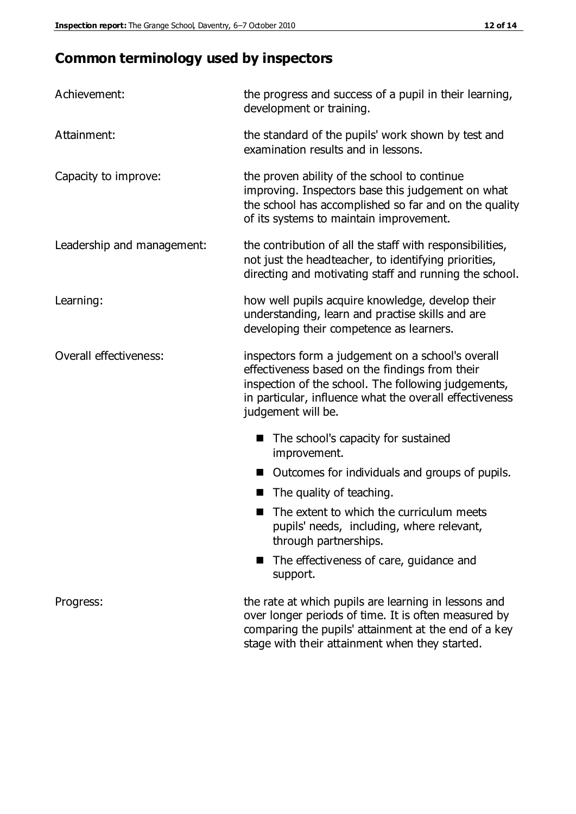# **Common terminology used by inspectors**

| Achievement:                  | the progress and success of a pupil in their learning,<br>development or training.                                                                                                                                                          |  |  |
|-------------------------------|---------------------------------------------------------------------------------------------------------------------------------------------------------------------------------------------------------------------------------------------|--|--|
| Attainment:                   | the standard of the pupils' work shown by test and<br>examination results and in lessons.                                                                                                                                                   |  |  |
| Capacity to improve:          | the proven ability of the school to continue<br>improving. Inspectors base this judgement on what<br>the school has accomplished so far and on the quality<br>of its systems to maintain improvement.                                       |  |  |
| Leadership and management:    | the contribution of all the staff with responsibilities,<br>not just the headteacher, to identifying priorities,<br>directing and motivating staff and running the school.                                                                  |  |  |
| Learning:                     | how well pupils acquire knowledge, develop their<br>understanding, learn and practise skills and are<br>developing their competence as learners.                                                                                            |  |  |
| <b>Overall effectiveness:</b> | inspectors form a judgement on a school's overall<br>effectiveness based on the findings from their<br>inspection of the school. The following judgements,<br>in particular, influence what the overall effectiveness<br>judgement will be. |  |  |
|                               | The school's capacity for sustained<br>improvement.                                                                                                                                                                                         |  |  |
|                               | Outcomes for individuals and groups of pupils.                                                                                                                                                                                              |  |  |
|                               | The quality of teaching.                                                                                                                                                                                                                    |  |  |
|                               | The extent to which the curriculum meets<br>pupils' needs, including, where relevant,<br>through partnerships.                                                                                                                              |  |  |
|                               | The effectiveness of care, guidance and<br>support.                                                                                                                                                                                         |  |  |
| Progress:                     | the rate at which pupils are learning in lessons and<br>over longer periods of time. It is often measured by<br>comparing the pupils' attainment at the end of a key                                                                        |  |  |

stage with their attainment when they started.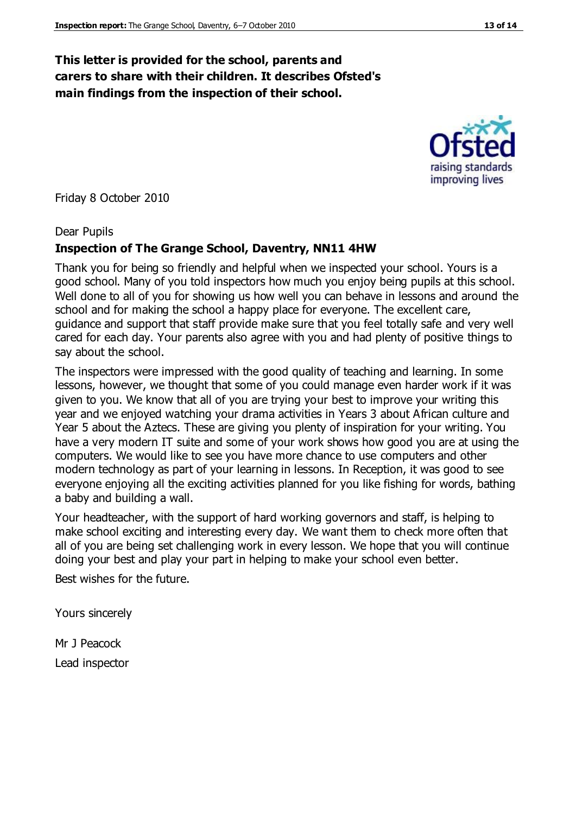# **This letter is provided for the school, parents and carers to share with their children. It describes Ofsted's main findings from the inspection of their school.**

Friday 8 October 2010

#### Dear Pupils

#### **Inspection of The Grange School, Daventry, NN11 4HW**

Thank you for being so friendly and helpful when we inspected your school. Yours is a good school. Many of you told inspectors how much you enjoy being pupils at this school. Well done to all of you for showing us how well you can behave in lessons and around the school and for making the school a happy place for everyone. The excellent care, guidance and support that staff provide make sure that you feel totally safe and very well cared for each day. Your parents also agree with you and had plenty of positive things to say about the school.

The inspectors were impressed with the good quality of teaching and learning. In some lessons, however, we thought that some of you could manage even harder work if it was given to you. We know that all of you are trying your best to improve your writing this year and we enjoyed watching your drama activities in Years 3 about African culture and Year 5 about the Aztecs. These are giving you plenty of inspiration for your writing. You have a very modern IT suite and some of your work shows how good you are at using the computers. We would like to see you have more chance to use computers and other modern technology as part of your learning in lessons. In Reception, it was good to see everyone enjoying all the exciting activities planned for you like fishing for words, bathing a baby and building a wall.

Your headteacher, with the support of hard working governors and staff, is helping to make school exciting and interesting every day. We want them to check more often that all of you are being set challenging work in every lesson. We hope that you will continue doing your best and play your part in helping to make your school even better.

Best wishes for the future.

Yours sincerely

Mr J Peacock Lead inspector